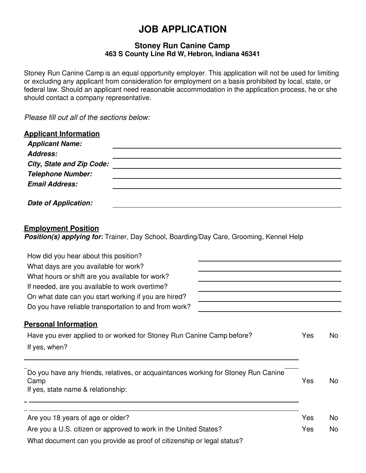# **JOB APPLICATION**

#### **Stoney Run Canine Camp 463 S County Line Rd W, Hebron, Indiana 46341**

Stoney Run Canine Camp is an equal opportunity employer. This application will not be used for limiting or excluding any applicant from consideration for employment on a basis prohibited by local, state, or federal law. Should an applicant need reasonable accommodation in the application process, he or she should contact a company representative.

*Please fill out all of the sections below:*

| <b>Applicant Information</b><br><b>Applicant Name:</b>                                                                                                                |            |
|-----------------------------------------------------------------------------------------------------------------------------------------------------------------------|------------|
| Address:                                                                                                                                                              |            |
| <b>City, State and Zip Code:</b>                                                                                                                                      |            |
| <b>Telephone Number:</b><br><b>Email Address:</b>                                                                                                                     |            |
| Date of Application:                                                                                                                                                  |            |
| <b>Employment Position</b><br><b>Position(s) applying for:</b> Trainer, Day School, Boarding/Day Care, Grooming, Kennel Help<br>How did you hear about this position? |            |
| What days are you available for work?                                                                                                                                 |            |
| What hours or shift are you available for work?                                                                                                                       |            |
| If needed, are you available to work overtime?                                                                                                                        |            |
| On what date can you start working if you are hired?<br>Do you have reliable transportation to and from work?                                                         |            |
| <b>Personal Information</b>                                                                                                                                           |            |
| Have you ever applied to or worked for Stoney Run Canine Camp before?                                                                                                 | Yes<br>No. |

If yes, when?

Do you have any friends, relatives, or acquaintances working for Stoney Run Canine Camp Yes No If yes, state name & relationship:

Are you 18 years of age or older? Are you 18 years of age or older? Are you a U.S. citizen or approved to work in the United States? The Most Change of the No What document can you provide as proof of citizenship or legal status?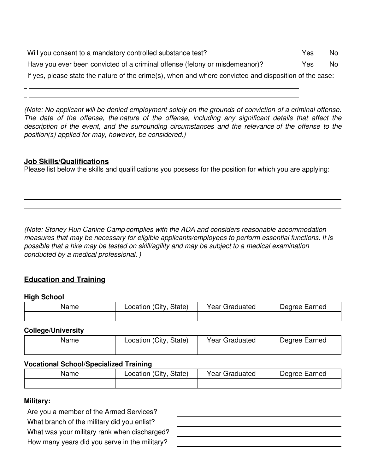| Will you consent to a mandatory controlled substance test?                                             | Yes | No. |
|--------------------------------------------------------------------------------------------------------|-----|-----|
| Have you ever been convicted of a criminal offense (felony or misdemeanor)?                            | Yes | No. |
| If yes, please state the nature of the crime(s), when and where convicted and disposition of the case: |     |     |

*(Note: No applicant will be denied employment solely on the grounds of conviction of a criminal offense. The date of the offense, the nature of the offense, including any significant details that affect the description of the event, and the surrounding circumstances and the relevance of the offense to the position(s) applied for may, however, be considered.)*

### **Job Skills/Qualifications**

Please list below the skills and qualifications you possess for the position for which you are applying:

*(Note: Stoney Run Canine Camp complies with the ADA and considers reasonable accommodation measures that may be necessary for eligible applicants/employees to perform essential functions. It is possible that a hire may be tested on skill/agility and may be subject to a medical examination conducted by a medical professional. )*

# **Education and Training**

#### **High School**

| Name | (City<br>State)<br>Location |  | Degree Earned |
|------|-----------------------------|--|---------------|
|      |                             |  |               |

#### **College/University**

| Name | (City<br>State)<br>Location | Graduated<br>Year ( | Degree Earned |
|------|-----------------------------|---------------------|---------------|
|      |                             |                     |               |

#### **Vocational School/Specialized Training**

| Name | Location (City, State) | Year Graduated | Degree Earned |  |
|------|------------------------|----------------|---------------|--|
|      |                        |                |               |  |

#### **Military:**

Are you a member of the Armed Services? What branch of the military did you enlist? What was your military rank when discharged? How many years did you serve in the military?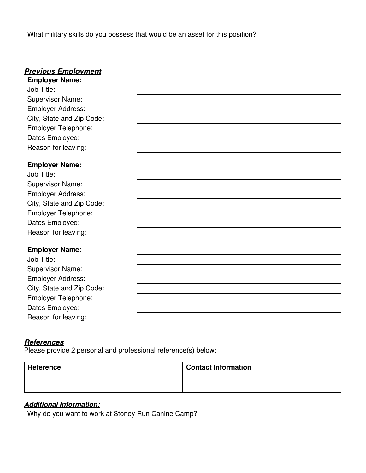What military skills do you possess that would be an asset for this position?

# *Previous Employment*

**Employer Name:** Job Title: Supervisor Name: Employer Address: City, State and Zip Code: Employer Telephone: Dates Employed: Reason for leaving:

| <b>Employer Name:</b>      |  |  |
|----------------------------|--|--|
| Job Title:                 |  |  |
| <b>Supervisor Name:</b>    |  |  |
| <b>Employer Address:</b>   |  |  |
| City, State and Zip Code:  |  |  |
| <b>Employer Telephone:</b> |  |  |
| Dates Employed:            |  |  |
| Reason for leaving:        |  |  |
| <b>Employer Name:</b>      |  |  |
| Job Title:                 |  |  |
| <b>Supervisor Name:</b>    |  |  |
| <b>Employer Address:</b>   |  |  |
| City, State and Zip Code:  |  |  |
| <b>Employer Telephone:</b> |  |  |
| Dates Employed:            |  |  |
| Reason for leaving:        |  |  |

# *References*

Please provide 2 personal and professional reference(s) below:

| Reference | <b>Contact Information</b> |
|-----------|----------------------------|
|           |                            |
|           |                            |

# *Additional Information:*

Why do you want to work at Stoney Run Canine Camp?